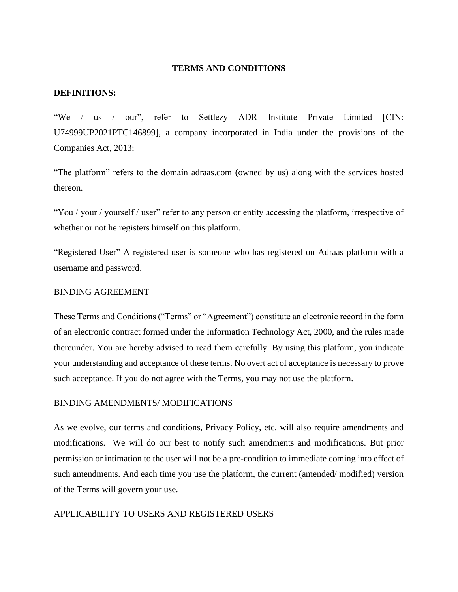#### **TERMS AND CONDITIONS**

#### **DEFINITIONS:**

"We / us / our", refer to Settlezy ADR Institute Private Limited [CIN: U74999UP2021PTC146899], a company incorporated in India under the provisions of the Companies Act, 2013;

"The platform" refers to the domain adraas.com (owned by us) along with the services hosted thereon.

"You / your / yourself / user" refer to any person or entity accessing the platform, irrespective of whether or not he registers himself on this platform.

"Registered User" A registered user is someone who has registered on Adraas platform with a username and password.

# BINDING AGREEMENT

These Terms and Conditions ("Terms" or "Agreement") constitute an electronic record in the form of an electronic contract formed under the Information Technology Act, 2000, and the rules made thereunder. You are hereby advised to read them carefully. By using this platform, you indicate your understanding and acceptance of these terms. No overt act of acceptance is necessary to prove such acceptance. If you do not agree with the Terms, you may not use the platform.

#### BINDING AMENDMENTS/ MODIFICATIONS

As we evolve, our terms and conditions, Privacy Policy, etc. will also require amendments and modifications. We will do our best to notify such amendments and modifications. But prior permission or intimation to the user will not be a pre-condition to immediate coming into effect of such amendments. And each time you use the platform, the current (amended/ modified) version of the Terms will govern your use.

#### APPLICABILITY TO USERS AND REGISTERED USERS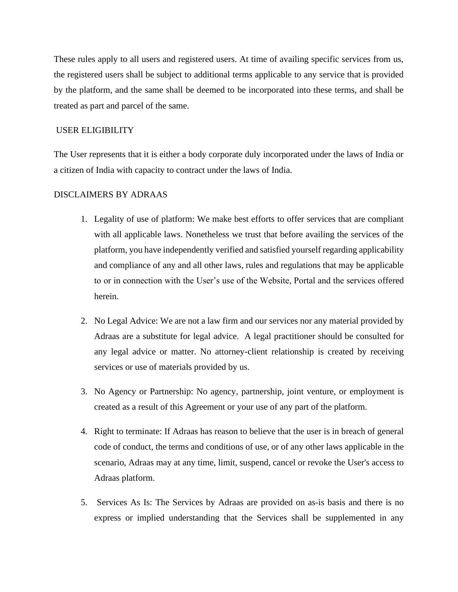These rules apply to all users and registered users. At time of availing specific services from us, the registered users shall be subject to additional terms applicable to any service that is provided by the platform, and the same shall be deemed to be incorporated into these terms, and shall be treated as part and parcel of the same.

# USER ELIGIBILITY

The User represents that it is either a body corporate duly incorporated under the laws of India or a citizen of India with capacity to contract under the laws of India.

# DISCLAIMERS BY ADRAAS

- 1. Legality of use of platform: We make best efforts to offer services that are compliant with all applicable laws. Nonetheless we trust that before availing the services of the platform, you have independently verified and satisfied yourself regarding applicability and compliance of any and all other laws, rules and regulations that may be applicable to or in connection with the User's use of the Website, Portal and the services offered herein.
- 2. No Legal Advice: We are not a law firm and our services nor any material provided by Adraas are a substitute for legal advice. A legal practitioner should be consulted for any legal advice or matter. No attorney-client relationship is created by receiving services or use of materials provided by us.
- 3. No Agency or Partnership: No agency, partnership, joint venture, or employment is created as a result of this Agreement or your use of any part of the platform.
- 4. Right to terminate: If Adraas has reason to believe that the user is in breach of general code of conduct, the terms and conditions of use, or of any other laws applicable in the scenario, Adraas may at any time, limit, suspend, cancel or revoke the User's access to Adraas platform.
- 5. Services As Is: The Services by Adraas are provided on as-is basis and there is no express or implied understanding that the Services shall be supplemented in any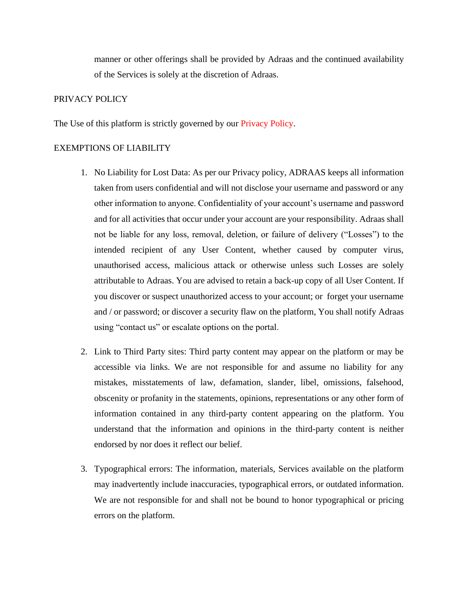manner or other offerings shall be provided by Adraas and the continued availability of the Services is solely at the discretion of Adraas.

# PRIVACY POLICY

The Use of this platform is strictly governed by our Privacy Policy.

#### EXEMPTIONS OF LIABILITY

- 1. No Liability for Lost Data: As per our Privacy policy, ADRAAS keeps all information taken from users confidential and will not disclose your username and password or any other information to anyone. Confidentiality of your account's username and password and for all activities that occur under your account are your responsibility. Adraas shall not be liable for any loss, removal, deletion, or failure of delivery ("Losses") to the intended recipient of any User Content, whether caused by computer virus, unauthorised access, malicious attack or otherwise unless such Losses are solely attributable to Adraas. You are advised to retain a back-up copy of all User Content. If you discover or suspect unauthorized access to your account; or forget your username and / or password; or discover a security flaw on the platform, You shall notify Adraas using "contact us" or escalate options on the portal.
- 2. Link to Third Party sites: Third party content may appear on the platform or may be accessible via links. We are not responsible for and assume no liability for any mistakes, misstatements of law, defamation, slander, libel, omissions, falsehood, obscenity or profanity in the statements, opinions, representations or any other form of information contained in any third-party content appearing on the platform. You understand that the information and opinions in the third-party content is neither endorsed by nor does it reflect our belief.
- 3. Typographical errors: The information, materials, Services available on the platform may inadvertently include inaccuracies, typographical errors, or outdated information. We are not responsible for and shall not be bound to honor typographical or pricing errors on the platform.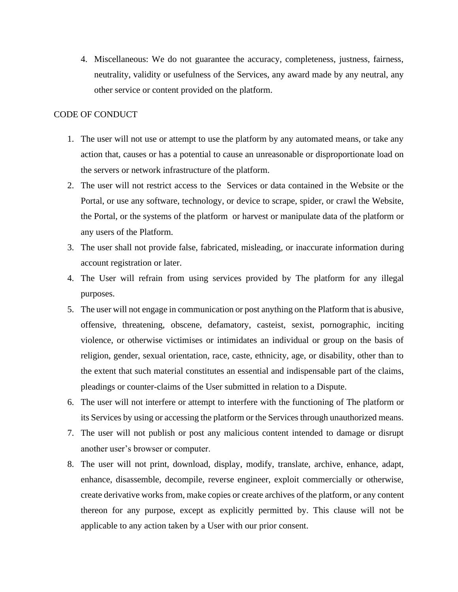4. Miscellaneous: We do not guarantee the accuracy, completeness, justness, fairness, neutrality, validity or usefulness of the Services, any award made by any neutral, any other service or content provided on the platform.

#### CODE OF CONDUCT

- 1. The user will not use or attempt to use the platform by any automated means, or take any action that, causes or has a potential to cause an unreasonable or disproportionate load on the servers or network infrastructure of the platform.
- 2. The user will not restrict access to the Services or data contained in the Website or the Portal, or use any software, technology, or device to scrape, spider, or crawl the Website, the Portal, or the systems of the platform or harvest or manipulate data of the platform or any users of the Platform.
- 3. The user shall not provide false, fabricated, misleading, or inaccurate information during account registration or later.
- 4. The User will refrain from using services provided by The platform for any illegal purposes.
- 5. The user will not engage in communication or post anything on the Platform that is abusive, offensive, threatening, obscene, defamatory, casteist, sexist, pornographic, inciting violence, or otherwise victimises or intimidates an individual or group on the basis of religion, gender, sexual orientation, race, caste, ethnicity, age, or disability, other than to the extent that such material constitutes an essential and indispensable part of the claims, pleadings or counter-claims of the User submitted in relation to a Dispute.
- 6. The user will not interfere or attempt to interfere with the functioning of The platform or its Services by using or accessing the platform or the Services through unauthorized means.
- 7. The user will not publish or post any malicious content intended to damage or disrupt another user's browser or computer.
- 8. The user will not print, download, display, modify, translate, archive, enhance, adapt, enhance, disassemble, decompile, reverse engineer, exploit commercially or otherwise, create derivative works from, make copies or create archives of the platform, or any content thereon for any purpose, except as explicitly permitted by. This clause will not be applicable to any action taken by a User with our prior consent.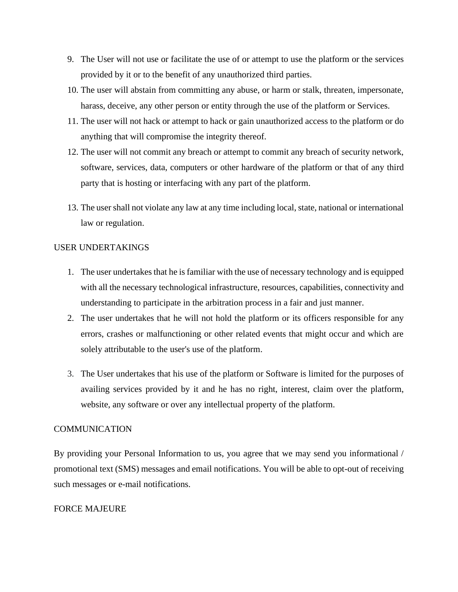- 9. The User will not use or facilitate the use of or attempt to use the platform or the services provided by it or to the benefit of any unauthorized third parties.
- 10. The user will abstain from committing any abuse, or harm or stalk, threaten, impersonate, harass, deceive, any other person or entity through the use of the platform or Services.
- 11. The user will not hack or attempt to hack or gain unauthorized access to the platform or do anything that will compromise the integrity thereof.
- 12. The user will not commit any breach or attempt to commit any breach of security network, software, services, data, computers or other hardware of the platform or that of any third party that is hosting or interfacing with any part of the platform.
- 13. The user shall not violate any law at any time including local, state, national or international law or regulation.

# USER UNDERTAKINGS

- 1. The user undertakes that he is familiar with the use of necessary technology and is equipped with all the necessary technological infrastructure, resources, capabilities, connectivity and understanding to participate in the arbitration process in a fair and just manner.
- 2. The user undertakes that he will not hold the platform or its officers responsible for any errors, crashes or malfunctioning or other related events that might occur and which are solely attributable to the user's use of the platform.
- 3. The User undertakes that his use of the platform or Software is limited for the purposes of availing services provided by it and he has no right, interest, claim over the platform, website, any software or over any intellectual property of the platform.

# **COMMUNICATION**

By providing your Personal Information to us, you agree that we may send you informational / promotional text (SMS) messages and email notifications. You will be able to opt-out of receiving such messages or e-mail notifications.

# FORCE MAJEURE